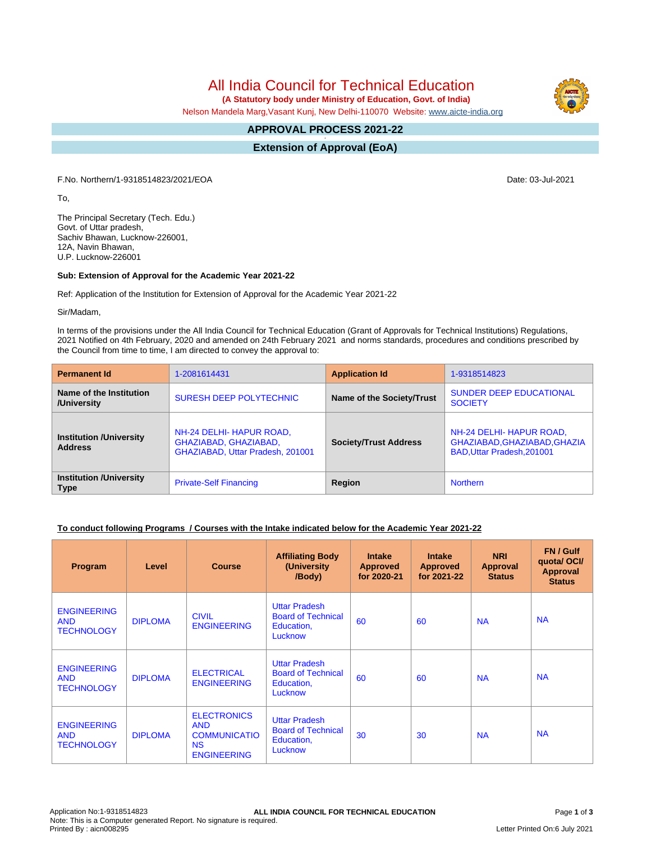# All India Council for Technical Education

 **(A Statutory body under Ministry of Education, Govt. of India)**

Nelson Mandela Marg,Vasant Kunj, New Delhi-110070 Website: [www.aicte-india.org](http://www.aicte-india.org)

#### **APPROVAL PROCESS 2021-22 -**

**Extension of Approval (EoA)**

F.No. Northern/1-9318514823/2021/EOA Date: 03-Jul-2021

To,

The Principal Secretary (Tech. Edu.) Govt. of Uttar pradesh, Sachiv Bhawan, Lucknow-226001, 12A, Navin Bhawan, U.P. Lucknow-226001

#### **Sub: Extension of Approval for the Academic Year 2021-22**

Ref: Application of the Institution for Extension of Approval for the Academic Year 2021-22

Sir/Madam,

In terms of the provisions under the All India Council for Technical Education (Grant of Approvals for Technical Institutions) Regulations, 2021 Notified on 4th February, 2020 and amended on 24th February 2021 and norms standards, procedures and conditions prescribed by the Council from time to time, I am directed to convey the approval to:

| <b>Permanent Id</b>                              | 1-2081614431                                                                          | <b>Application Id</b>        | 1-9318514823                                                                           |  |
|--------------------------------------------------|---------------------------------------------------------------------------------------|------------------------------|----------------------------------------------------------------------------------------|--|
| Name of the Institution<br>/University           | <b>SURESH DEEP POLYTECHNIC</b>                                                        | Name of the Society/Trust    | <b>SUNDER DEEP EDUCATIONAL</b><br><b>SOCIETY</b>                                       |  |
| <b>Institution /University</b><br><b>Address</b> | NH-24 DELHI- HAPUR ROAD,<br>GHAZIABAD, GHAZIABAD,<br>GHAZIABAD, Uttar Pradesh, 201001 | <b>Society/Trust Address</b> | NH-24 DELHI- HAPUR ROAD,<br>GHAZIABAD, GHAZIABAD, GHAZIA<br>BAD, Uttar Pradesh, 201001 |  |
| <b>Institution /University</b><br><b>Type</b>    | <b>Private-Self Financing</b>                                                         | Region                       | <b>Northern</b>                                                                        |  |

#### **To conduct following Programs / Courses with the Intake indicated below for the Academic Year 2021-22**

| Program                                               | Level          | <b>Course</b>                                                                              | <b>Affiliating Body</b><br>(University<br>/Body)                           | <b>Intake</b><br><b>Approved</b><br>for 2020-21 | <b>Intake</b><br><b>Approved</b><br>for 2021-22 | <b>NRI</b><br>Approval<br><b>Status</b> | FN / Gulf<br>quota/OCI/<br><b>Approval</b><br><b>Status</b> |
|-------------------------------------------------------|----------------|--------------------------------------------------------------------------------------------|----------------------------------------------------------------------------|-------------------------------------------------|-------------------------------------------------|-----------------------------------------|-------------------------------------------------------------|
| <b>ENGINEERING</b><br><b>AND</b><br><b>TECHNOLOGY</b> | <b>DIPLOMA</b> | <b>CIVIL</b><br><b>ENGINEERING</b>                                                         | <b>Uttar Pradesh</b><br><b>Board of Technical</b><br>Education,<br>Lucknow | 60                                              | 60                                              | <b>NA</b>                               | <b>NA</b>                                                   |
| <b>ENGINEERING</b><br><b>AND</b><br><b>TECHNOLOGY</b> | <b>DIPLOMA</b> | <b>ELECTRICAL</b><br><b>ENGINEERING</b>                                                    | <b>Uttar Pradesh</b><br><b>Board of Technical</b><br>Education,<br>Lucknow | 60                                              | 60                                              | <b>NA</b>                               | <b>NA</b>                                                   |
| <b>ENGINEERING</b><br><b>AND</b><br><b>TECHNOLOGY</b> | <b>DIPLOMA</b> | <b>ELECTRONICS</b><br><b>AND</b><br><b>COMMUNICATIO</b><br><b>NS</b><br><b>ENGINEERING</b> | <b>Uttar Pradesh</b><br><b>Board of Technical</b><br>Education,<br>Lucknow | 30                                              | 30                                              | <b>NA</b>                               | <b>NA</b>                                                   |

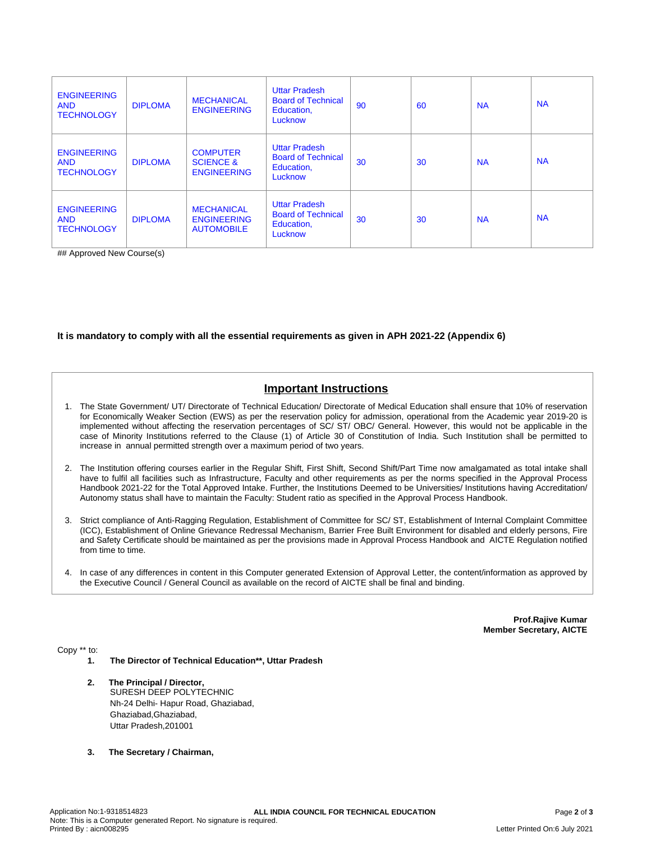| <b>ENGINEERING</b><br><b>AND</b><br><b>TECHNOLOGY</b> | <b>DIPLOMA</b> | <b>MECHANICAL</b><br><b>ENGINEERING</b>                       | <b>Uttar Pradesh</b><br><b>Board of Technical</b><br>Education,<br>Lucknow | 90 | 60 | <b>NA</b> | <b>NA</b> |
|-------------------------------------------------------|----------------|---------------------------------------------------------------|----------------------------------------------------------------------------|----|----|-----------|-----------|
| <b>ENGINEERING</b><br><b>AND</b><br><b>TECHNOLOGY</b> | <b>DIPLOMA</b> | <b>COMPUTER</b><br><b>SCIENCE &amp;</b><br><b>ENGINEERING</b> | <b>Uttar Pradesh</b><br><b>Board of Technical</b><br>Education,<br>Lucknow | 30 | 30 | <b>NA</b> | <b>NA</b> |
| <b>ENGINEERING</b><br><b>AND</b><br><b>TECHNOLOGY</b> | <b>DIPLOMA</b> | <b>MECHANICAL</b><br><b>ENGINEERING</b><br><b>AUTOMOBILE</b>  | <b>Uttar Pradesh</b><br><b>Board of Technical</b><br>Education,<br>Lucknow | 30 | 30 | <b>NA</b> | <b>NA</b> |

## Approved New Course(s)

#### **It is mandatory to comply with all the essential requirements as given in APH 2021-22 (Appendix 6)**

## **Important Instructions**

- 1. The State Government/ UT/ Directorate of Technical Education/ Directorate of Medical Education shall ensure that 10% of reservation for Economically Weaker Section (EWS) as per the reservation policy for admission, operational from the Academic year 2019-20 is implemented without affecting the reservation percentages of SC/ ST/ OBC/ General. However, this would not be applicable in the case of Minority Institutions referred to the Clause (1) of Article 30 of Constitution of India. Such Institution shall be permitted to increase in annual permitted strength over a maximum period of two years.
- 2. The Institution offering courses earlier in the Regular Shift, First Shift, Second Shift/Part Time now amalgamated as total intake shall have to fulfil all facilities such as Infrastructure, Faculty and other requirements as per the norms specified in the Approval Process Handbook 2021-22 for the Total Approved Intake. Further, the Institutions Deemed to be Universities/ Institutions having Accreditation/ Autonomy status shall have to maintain the Faculty: Student ratio as specified in the Approval Process Handbook.
- 3. Strict compliance of Anti-Ragging Regulation, Establishment of Committee for SC/ ST, Establishment of Internal Complaint Committee (ICC), Establishment of Online Grievance Redressal Mechanism, Barrier Free Built Environment for disabled and elderly persons, Fire and Safety Certificate should be maintained as per the provisions made in Approval Process Handbook and AICTE Regulation notified from time to time.
- 4. In case of any differences in content in this Computer generated Extension of Approval Letter, the content/information as approved by the Executive Council / General Council as available on the record of AICTE shall be final and binding.

**Prof.Rajive Kumar Member Secretary, AICTE**

Copy \*\* to:

- **1. The Director of Technical Education\*\*, Uttar Pradesh**
- **2. The Principal / Director,** SURESH DEEP POLYTECHNIC Nh-24 Delhi- Hapur Road, Ghaziabad, Ghaziabad,Ghaziabad, Uttar Pradesh,201001
- **3. The Secretary / Chairman,**